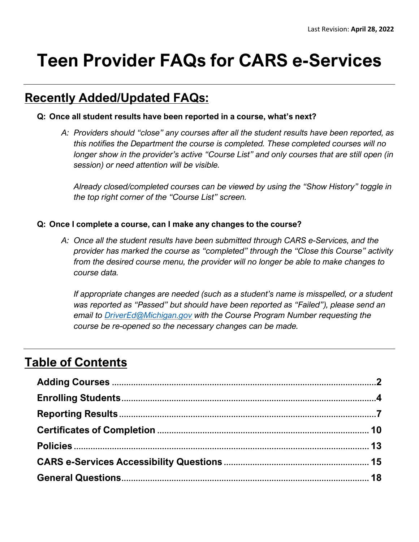# **Teen Provider FAQs for CARS e-Services**

# **Recently Added/Updated FAQs:**

### **Q: Once all student results have been reported in a course, what's next?**

*A: Providers should "close" any courses after all the student results have been reported, as this notifies the Department the course is completed. These completed courses will no longer show in the provider's active "Course List" and only courses that are still open (in session) or need attention will be visible.* 

*Already closed/completed courses can be viewed by using the "Show History" toggle in the top right corner of the "Course List" screen.*

#### **Q: Once I complete a course, can I make any changes to the course?**

*A: Once all the student results have been submitted through CARS e-Services, and the provider has marked the course as "completed" through the "Close this Course" activity from the desired course menu, the provider will no longer be able to make changes to course data.* 

*If appropriate changes are needed (such as a student's name is misspelled, or a student was reported as "Passed" but should have been reported as "Failed"), please send an email to [DriverEd@Michigan.gov](mailto:DriverEd@Michigan.gov) with the Course Program Number requesting the course be re-opened so the necessary changes can be made.*

# **Table of Contents**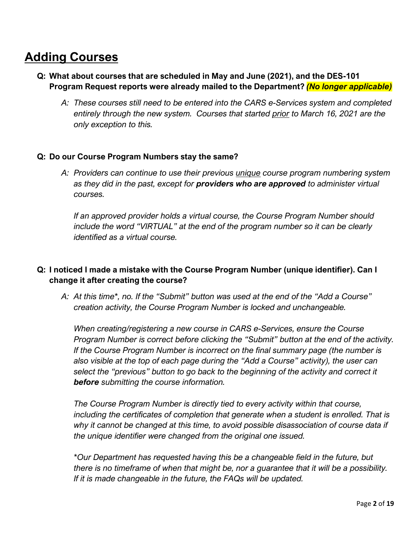# **Adding Courses**

- **Q: What about courses that are scheduled in May and June (2021), and the DES-101 Program Request reports were already mailed to the Department?** *(No longer applicable)*
	- *A: These courses still need to be entered into the CARS e-Services system and completed entirely through the new system. Courses that started prior to March 16, 2021 are the only exception to this.*

### **Q: Do our Course Program Numbers stay the same?**

*A: Providers can continue to use their previous unique course program numbering system as they did in the past, except for providers who are approved to administer virtual courses.* 

*If an approved provider holds a virtual course, the Course Program Number should include the word "VIRTUAL" at the end of the program number so it can be clearly identified as a virtual course.*

# **Q: I noticed I made a mistake with the Course Program Number (unique identifier). Can I change it after creating the course?**

*A: At this time\*, no. If the "Submit" button was used at the end of the "Add a Course" creation activity, the Course Program Number is locked and unchangeable.* 

*When creating/registering a new course in CARS e-Services, ensure the Course Program Number is correct before clicking the "Submit" button at the end of the activity. If the Course Program Number is incorrect on the final summary page (the number is also visible at the top of each page during the "Add a Course" activity), the user can select the "previous" button to go back to the beginning of the activity and correct it before submitting the course information.* 

*The Course Program Number is directly tied to every activity within that course, including the certificates of completion that generate when a student is enrolled. That is why it cannot be changed at this time, to avoid possible disassociation of course data if the unique identifier were changed from the original one issued.* 

*\*Our Department has requested having this be a changeable field in the future, but there is no timeframe of when that might be, nor a guarantee that it will be a possibility. If it is made changeable in the future, the FAQs will be updated.*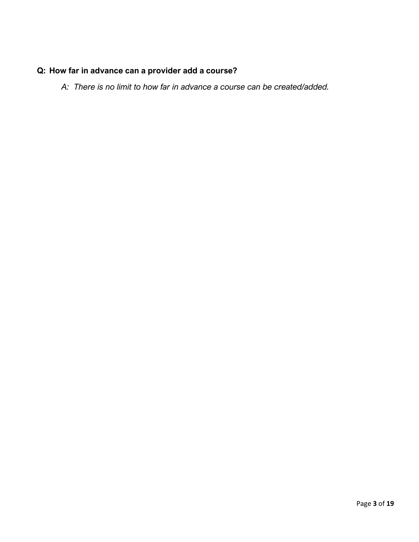# **Q: How far in advance can a provider add a course?**

*A: There is no limit to how far in advance a course can be created/added.*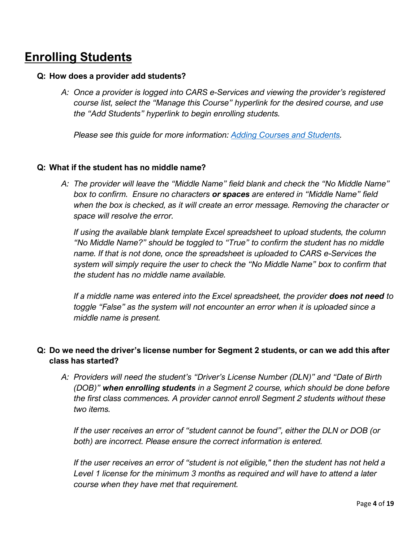# **Enrolling Students**

#### **Q: How does a provider add students?**

*A: Once a provider is logged into CARS e-Services and viewing the provider's registered course list, select the "Manage this Course" hyperlink for the desired course, and use the "Add Students" hyperlink to begin enrolling students.* 

*Please see this guide for more information: [Adding Courses and Students.](https://www.michigan.gov/documents/sos/DEP_-_Adding_Courses_and_Students_719154_7.pdf)* 

#### **Q: What if the student has no middle name?**

*A: The provider will leave the "Middle Name" field blank and check the "No Middle Name" box to confirm. Ensure no characters or spaces are entered in "Middle Name" field when the box is checked, as it will create an error message. Removing the character or space will resolve the error.*

*If using the available blank template Excel spreadsheet to upload students, the column "No Middle Name?" should be toggled to "True" to confirm the student has no middle name. If that is not done, once the spreadsheet is uploaded to CARS e-Services the system will simply require the user to check the "No Middle Name" box to confirm that the student has no middle name available.* 

*If a middle name was entered into the Excel spreadsheet, the provider does not need to toggle "False" as the system will not encounter an error when it is uploaded since a middle name is present.* 

# **Q: Do we need the driver's license number for Segment 2 students, or can we add this after class has started?**

*A: Providers will need the student's "Driver's License Number (DLN)" and "Date of Birth (DOB)" when enrolling students in a Segment 2 course, which should be done before the first class commences. A provider cannot enroll Segment 2 students without these two items.*

*If the user receives an error of "student cannot be found", either the DLN or DOB (or both) are incorrect. Please ensure the correct information is entered.* 

*If the user receives an error of "student is not eligible," then the student has not held a Level 1 license for the minimum 3 months as required and will have to attend a later course when they have met that requirement.*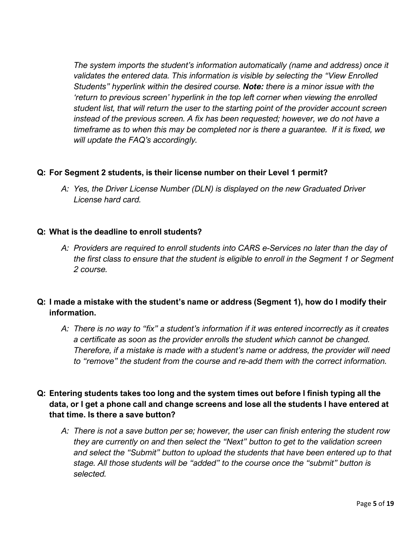*The system imports the student's information automatically (name and address) once it validates the entered data. This information is visible by selecting the "View Enrolled Students" hyperlink within the desired course. Note: there is a minor issue with the 'return to previous screen' hyperlink in the top left corner when viewing the enrolled student list, that will return the user to the starting point of the provider account screen instead of the previous screen. A fix has been requested; however, we do not have a timeframe as to when this may be completed nor is there a guarantee. If it is fixed, we will update the FAQ's accordingly.*

### **Q: For Segment 2 students, is their license number on their Level 1 permit?**

*A: Yes, the Driver License Number (DLN) is displayed on the new Graduated Driver License hard card.*

### **Q: What is the deadline to enroll students?**

*A: Providers are required to enroll students into CARS e-Services no later than the day of the first class to ensure that the student is eligible to enroll in the Segment 1 or Segment 2 course.* 

# **Q: I made a mistake with the student's name or address (Segment 1), how do I modify their information.**

*A: There is no way to "fix" a student's information if it was entered incorrectly as it creates a certificate as soon as the provider enrolls the student which cannot be changed. Therefore, if a mistake is made with a student's name or address, the provider will need to "remove" the student from the course and re-add them with the correct information.*

## **Q: Entering students takes too long and the system times out before I finish typing all the data, or I get a phone call and change screens and lose all the students I have entered at that time. Is there a save button?**

*A: There is not a save button per se; however, the user can finish entering the student row they are currently on and then select the "Next" button to get to the validation screen and select the "Submit" button to upload the students that have been entered up to that stage. All those students will be "added" to the course once the "submit" button is selected.*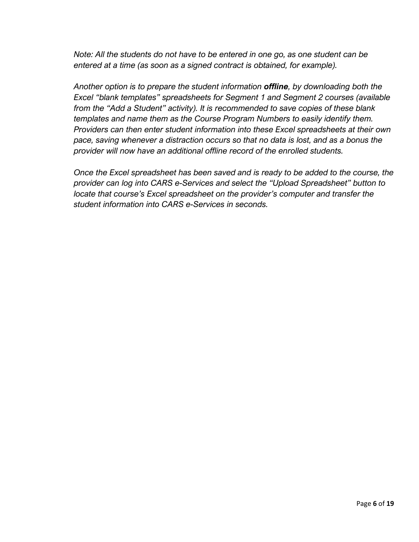*Note: All the students do not have to be entered in one go, as one student can be entered at a time (as soon as a signed contract is obtained, for example).*

*Another option is to prepare the student information offline, by downloading both the Excel "blank templates" spreadsheets for Segment 1 and Segment 2 courses (available from the "Add a Student" activity). It is recommended to save copies of these blank templates and name them as the Course Program Numbers to easily identify them. Providers can then enter student information into these Excel spreadsheets at their own pace, saving whenever a distraction occurs so that no data is lost, and as a bonus the provider will now have an additional offline record of the enrolled students.*

*Once the Excel spreadsheet has been saved and is ready to be added to the course, the provider can log into CARS e-Services and select the "Upload Spreadsheet" button to locate that course's Excel spreadsheet on the provider's computer and transfer the student information into CARS e-Services in seconds.*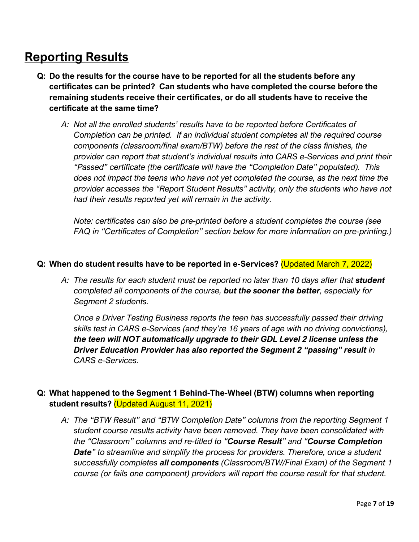# **Reporting Results**

- **Q: Do the results for the course have to be reported for all the students before any certificates can be printed? Can students who have completed the course before the remaining students receive their certificates, or do all students have to receive the certificate at the same time?**
	- *A: Not all the enrolled students' results have to be reported before Certificates of Completion can be printed. If an individual student completes all the required course components (classroom/final exam/BTW) before the rest of the class finishes, the provider can report that student's individual results into CARS e-Services and print their "Passed" certificate (the certificate will have the "Completion Date" populated). This does not impact the teens who have not yet completed the course, as the next time the provider accesses the "Report Student Results" activity, only the students who have not had their results reported yet will remain in the activity.*

*Note: certificates can also be pre-printed before a student completes the course (see FAQ in "Certificates of Completion" section below for more information on pre-printing.)* 

### **Q: When do student results have to be reported in e-Services?** (Updated March 7, 2022)

*A: The results for each student must be reported no later than 10 days after that student completed all components of the course, but the sooner the better, especially for Segment 2 students.* 

*Once a Driver Testing Business reports the teen has successfully passed their driving skills test in CARS e-Services (and they're 16 years of age with no driving convictions), the teen will NOT automatically upgrade to their GDL Level 2 license unless the Driver Education Provider has also reported the Segment 2 "passing" result in CARS e-Services.*

# **Q: What happened to the Segment 1 Behind-The-Wheel (BTW) columns when reporting student results?** (Updated August 11, 2021)

*A: The "BTW Result" and "BTW Completion Date" columns from the reporting Segment 1 student course results activity have been removed. They have been consolidated with the "Classroom" columns and re-titled to "Course Result" and "Course Completion Date" to streamline and simplify the process for providers. Therefore, once a student successfully completes all components (Classroom/BTW/Final Exam) of the Segment 1 course (or fails one component) providers will report the course result for that student.*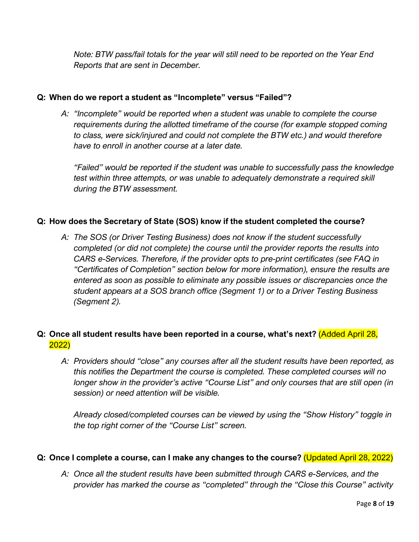*Note: BTW pass/fail totals for the year will still need to be reported on the Year End Reports that are sent in December.*

### **Q: When do we report a student as "Incomplete" versus "Failed"?**

*A: "Incomplete" would be reported when a student was unable to complete the course requirements during the allotted timeframe of the course (for example stopped coming to class, were sick/injured and could not complete the BTW etc.) and would therefore have to enroll in another course at a later date.*

*"Failed" would be reported if the student was unable to successfully pass the knowledge test within three attempts, or was unable to adequately demonstrate a required skill during the BTW assessment.*

### **Q: How does the Secretary of State (SOS) know if the student completed the course?**

*A: The SOS (or Driver Testing Business) does not know if the student successfully completed (or did not complete) the course until the provider reports the results into CARS e-Services. Therefore, if the provider opts to pre-print certificates (see FAQ in "Certificates of Completion" section below for more information), ensure the results are entered as soon as possible to eliminate any possible issues or discrepancies once the student appears at a SOS branch office (Segment 1) or to a Driver Testing Business (Segment 2).*

# **Q: Once all student results have been reported in a course, what's next?** (Added April 28, 2022)

*A: Providers should "close" any courses after all the student results have been reported, as this notifies the Department the course is completed. These completed courses will no longer show in the provider's active "Course List" and only courses that are still open (in session) or need attention will be visible.* 

*Already closed/completed courses can be viewed by using the "Show History" toggle in the top right corner of the "Course List" screen.*

### **Q: Once I complete a course, can I make any changes to the course?** (Updated April 28, 2022)

*A: Once all the student results have been submitted through CARS e-Services, and the provider has marked the course as "completed" through the "Close this Course" activity*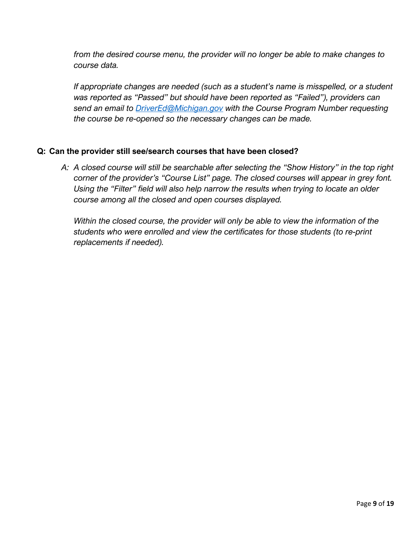*from the desired course menu, the provider will no longer be able to make changes to course data.* 

*If appropriate changes are needed (such as a student's name is misspelled, or a student was reported as "Passed" but should have been reported as "Failed"), providers can send an email to [DriverEd@Michigan.gov](mailto:DriverEd@Michigan.gov) with the Course Program Number requesting the course be re-opened so the necessary changes can be made.*

### **Q: Can the provider still see/search courses that have been closed?**

*A: A closed course will still be searchable after selecting the "Show History" in the top right corner of the provider's "Course List" page. The closed courses will appear in grey font. Using the "Filter" field will also help narrow the results when trying to locate an older course among all the closed and open courses displayed.*

*Within the closed course, the provider will only be able to view the information of the students who were enrolled and view the certificates for those students (to re-print replacements if needed).*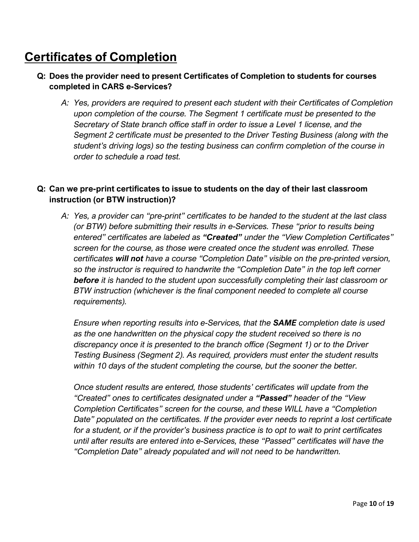# **Certificates of Completion**

# **Q: Does the provider need to present Certificates of Completion to students for courses completed in CARS e-Services?**

*A: Yes, providers are required to present each student with their Certificates of Completion upon completion of the course. The Segment 1 certificate must be presented to the Secretary of State branch office staff in order to issue a Level 1 license, and the Segment 2 certificate must be presented to the Driver Testing Business (along with the student's driving logs) so the testing business can confirm completion of the course in order to schedule a road test.*

## **Q: Can we pre-print certificates to issue to students on the day of their last classroom instruction (or BTW instruction)?**

*A: Yes, a provider can "pre-print" certificates to be handed to the student at the last class (or BTW) before submitting their results in e-Services. These "prior to results being entered" certificates are labeled as "Created" under the "View Completion Certificates" screen for the course, as those were created once the student was enrolled. These certificates will not have a course "Completion Date" visible on the pre-printed version, so the instructor is required to handwrite the "Completion Date" in the top left corner before it is handed to the student upon successfully completing their last classroom or BTW instruction (whichever is the final component needed to complete all course requirements).* 

*Ensure when reporting results into e-Services, that the SAME completion date is used as the one handwritten on the physical copy the student received so there is no discrepancy once it is presented to the branch office (Segment 1) or to the Driver Testing Business (Segment 2). As required, providers must enter the student results within 10 days of the student completing the course, but the sooner the better.* 

*Once student results are entered, those students' certificates will update from the "Created" ones to certificates designated under a "Passed" header of the "View Completion Certificates" screen for the course, and these WILL have a "Completion Date" populated on the certificates. If the provider ever needs to reprint a lost certificate for a student, or if the provider's business practice is to opt to wait to print certificates until after results are entered into e-Services, these "Passed" certificates will have the "Completion Date" already populated and will not need to be handwritten.*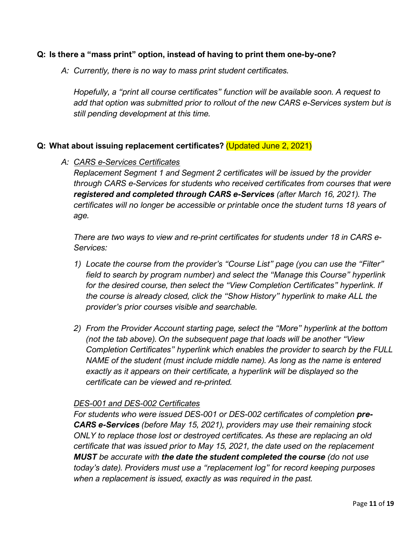### **Q: Is there a "mass print" option, instead of having to print them one-by-one?**

*A: Currently, there is no way to mass print student certificates.* 

*Hopefully, a "print all course certificates" function will be available soon. A request to add that option was submitted prior to rollout of the new CARS e-Services system but is still pending development at this time.*

### **Q: What about issuing replacement certificates?** (Updated June 2, 2021)

### *A: CARS e-Services Certificates*

*Replacement Segment 1 and Segment 2 certificates will be issued by the provider through CARS e-Services for students who received certificates from courses that were registered and completed through CARS e-Services (after March 16, 2021). The certificates will no longer be accessible or printable once the student turns 18 years of age.*

*There are two ways to view and re-print certificates for students under 18 in CARS e-Services:* 

- *1) Locate the course from the provider's "Course List" page (you can use the "Filter" field to search by program number) and select the "Manage this Course" hyperlink for the desired course, then select the "View Completion Certificates" hyperlink. If the course is already closed, click the "Show History" hyperlink to make ALL the provider's prior courses visible and searchable.*
- *2) From the Provider Account starting page, select the "More" hyperlink at the bottom (not the tab above). On the subsequent page that loads will be another "View Completion Certificates" hyperlink which enables the provider to search by the FULL NAME of the student (must include middle name). As long as the name is entered exactly as it appears on their certificate, a hyperlink will be displayed so the certificate can be viewed and re-printed.*

### *DES-001 and DES-002 Certificates*

*For students who were issued DES-001 or DES-002 certificates of completion pre-CARS e-Services (before May 15, 2021), providers may use their remaining stock ONLY to replace those lost or destroyed certificates. As these are replacing an old certificate that was issued prior to May 15, 2021, the date used on the replacement MUST be accurate with the date the student completed the course (do not use today's date). Providers must use a "replacement log" for record keeping purposes when a replacement is issued, exactly as was required in the past.*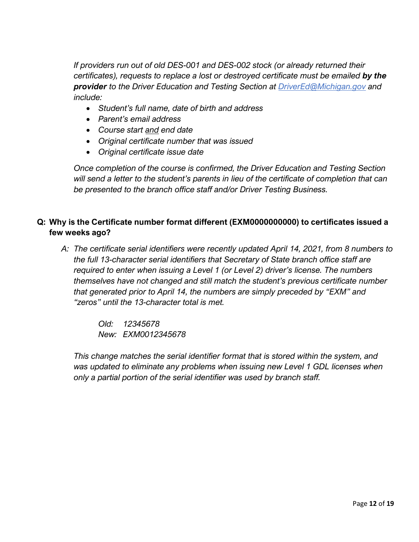*If providers run out of old DES-001 and DES-002 stock (or already returned their certificates), requests to replace a lost or destroyed certificate must be emailed by the provider to the Driver Education and Testing Section at [DriverEd@Michigan.gov](mailto:DriverEd@Michigan.gov) and include:*

- *Student's full name, date of birth and address*
- *Parent's email address*
- *Course start and end date*
- *Original certificate number that was issued*
- *Original certificate issue date*

*Once completion of the course is confirmed, the Driver Education and Testing Section will send a letter to the student's parents in lieu of the certificate of completion that can be presented to the branch office staff and/or Driver Testing Business.*

# **Q: Why is the Certificate number format different (EXM0000000000) to certificates issued a few weeks ago?**

*A: The certificate serial identifiers were recently updated April 14, 2021, from 8 numbers to the full 13-character serial identifiers that Secretary of State branch office staff are required to enter when issuing a Level 1 (or Level 2) driver's license. The numbers themselves have not changed and still match the student's previous certificate number that generated prior to April 14, the numbers are simply preceded by "EXM" and "zeros" until the 13-character total is met.* 

> *Old: 12345678 New: EXM0012345678*

*This change matches the serial identifier format that is stored within the system, and*  was updated to eliminate any problems when issuing new Level 1 GDL licenses when *only a partial portion of the serial identifier was used by branch staff.*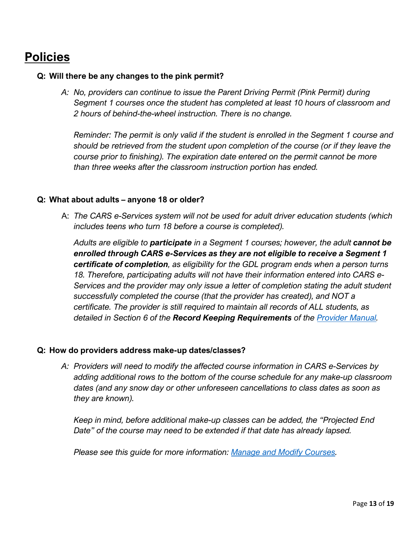# **Policies**

### **Q: Will there be any changes to the pink permit?**

*A: No, providers can continue to issue the Parent Driving Permit (Pink Permit) during Segment 1 courses once the student has completed at least 10 hours of classroom and 2 hours of behind-the-wheel instruction. There is no change.*

*Reminder: The permit is only valid if the student is enrolled in the Segment 1 course and should be retrieved from the student upon completion of the course (or if they leave the course prior to finishing). The expiration date entered on the permit cannot be more than three weeks after the classroom instruction portion has ended.*

### **Q: What about adults – anyone 18 or older?**

A: *The CARS e-Services system will not be used for adult driver education students (which includes teens who turn 18 before a course is completed).*

*Adults are eligible to participate in a Segment 1 courses; however, the adult cannot be enrolled through CARS e-Services as they are not eligible to receive a Segment 1 certificate of completion, as eligibility for the GDL program ends when a person turns 18. Therefore, participating adults will not have their information entered into CARS e-Services and the provider may only issue a letter of completion stating the adult student successfully completed the course (that the provider has created), and NOT a certificate. The provider is still required to maintain all records of ALL students, as detailed in Section 6 of the Record Keeping Requirements of the [Provider Manual.](https://www.michigan.gov/documents/sos/Driver_Education_Provider_Manual_184253_7.pdf)* 

### **Q: How do providers address make-up dates/classes?**

*A: Providers will need to modify the affected course information in CARS e-Services by adding additional rows to the bottom of the course schedule for any make-up classroom dates (and any snow day or other unforeseen cancellations to class dates as soon as they are known).*

*Keep in mind, before additional make-up classes can be added, the "Projected End Date" of the course may need to be extended if that date has already lapsed.*

*Please see this guide for more information: [Manage and Modify Courses.](https://www.michigan.gov/documents/sos/DEP_-_Manage_and_Modify_Courses_719155_7.pdf)*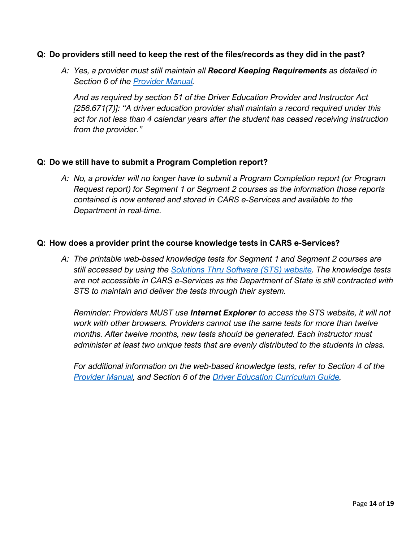### **Q: Do providers still need to keep the rest of the files/records as they did in the past?**

*A: Yes, a provider must still maintain all Record Keeping Requirements as detailed in Section 6 of the [Provider Manual.](https://www.michigan.gov/documents/sos/Driver_Education_Provider_Manual_184253_7.pdf)* 

*And as required by section 51 of the Driver Education Provider and Instructor Act [256.671(7)]: "A driver education provider shall maintain a record required under this act for not less than 4 calendar years after the student has ceased receiving instruction from the provider."*

#### **Q: Do we still have to submit a Program Completion report?**

*A: No, a provider will no longer have to submit a Program Completion report (or Program Request report) for Segment 1 or Segment 2 courses as the information those reports contained is now entered and stored in CARS e-Services and available to the Department in real-time.*

#### **Q: How does a provider print the course knowledge tests in CARS e-Services?**

*A: The printable web-based knowledge tests for Segment 1 and Segment 2 courses are still accessed by using the [Solutions Thru Software \(STS\) website.](http://www.stsetest-exam.com/wts.dll) The knowledge tests are not accessible in CARS e-Services as the Department of State is still contracted with STS to maintain and deliver the tests through their system.*

*Reminder: Providers MUST use Internet Explorer to access the STS website, it will not work with other browsers. Providers cannot use the same tests for more than twelve months. After twelve months, new tests should be generated. Each instructor must administer at least two unique tests that are evenly distributed to the students in class.* 

*For additional information on the web-based knowledge tests, refer to Section 4 of the [Provider Manual,](https://www.michigan.gov/documents/sos/Driver_Education_Provider_Manual_184253_7.pdf) and Section 6 of the [Driver Education Curriculum Guide.](https://www.michigan.gov/documents/sos/DES_-_201_Driver_Education_Curriculum_Guide_215706_7.pdf)*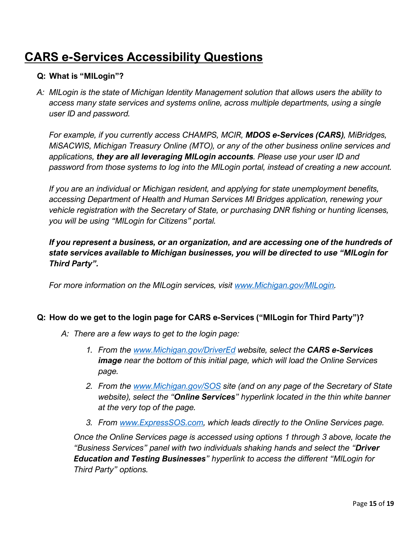# **CARS e-Services Accessibility Questions**

### **Q: What is "MILogin"?**

*A: MILogin is the state of Michigan Identity Management solution that allows users the ability to access many state services and systems online, across multiple departments, using a single user ID and password.*

*For example, if you currently access CHAMPS, MCIR, MDOS e-Services (CARS), MiBridges, MiSACWIS, Michigan Treasury Online (MTO), or any of the other business online services and applications, they are all leveraging MILogin accounts. Please use your user ID and password from those systems to log into the MILogin portal, instead of creating a new account.*

*If you are an individual or Michigan resident, and applying for state unemployment benefits, accessing Department of Health and Human Services MI Bridges application, renewing your vehicle registration with the Secretary of State, or purchasing DNR fishing or hunting licenses, you will be using "MILogin for Citizens" portal.*

*If you represent a business, or an organization, and are accessing one of the hundreds of state services available to Michigan businesses, you will be directed to use "MILogin for Third Party".*

*For more information on the MILogin services, visit [www.Michigan.gov/MILogin.](http://www.michigan.gov/MILogin)* 

### **Q: How do we get to the login page for CARS e-Services ("MILogin for Third Party")?**

- *A: There are a few ways to get to the login page:*
	- *1. From the [www.Michigan.gov/DriverEd](http://www.michigan.gov/DriverEd) website, select the CARS e-Services image near the bottom of this initial page, which will load the Online Services page.*
	- *2. From the [www.Michigan.gov/SOS](http://www.michigan.gov/SOS) site (and on any page of the Secretary of State website), select the "Online Services" hyperlink located in the thin white banner at the very top of the page.*
	- *3. From [www.ExpressSOS.com,](http://www.expresssos.com/) which leads directly to the Online Services page.*

*Once the Online Services page is accessed using options 1 through 3 above, locate the "Business Services" panel with two individuals shaking hands and select the "Driver Education and Testing Businesses" hyperlink to access the different "MILogin for Third Party" options.*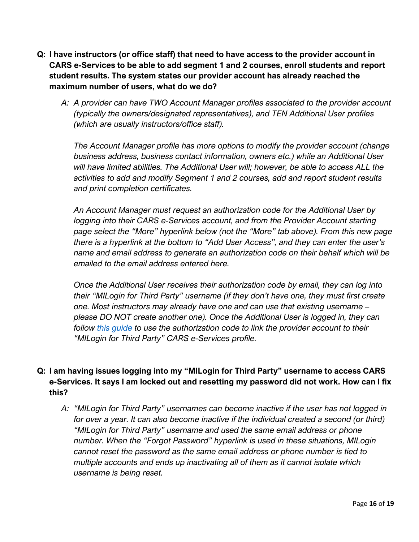- **Q: I have instructors (or office staff) that need to have access to the provider account in CARS e-Services to be able to add segment 1 and 2 courses, enroll students and report student results. The system states our provider account has already reached the maximum number of users, what do we do?** 
	- *A: A provider can have TWO Account Manager profiles associated to the provider account (typically the owners/designated representatives), and TEN Additional User profiles (which are usually instructors/office staff).*

*The Account Manager profile has more options to modify the provider account (change business address, business contact information, owners etc.) while an Additional User will have limited abilities. The Additional User will; however, be able to access ALL the activities to add and modify Segment 1 and 2 courses, add and report student results and print completion certificates.* 

*An Account Manager must request an authorization code for the Additional User by logging into their CARS e-Services account, and from the Provider Account starting page select the "More" hyperlink below (not the "More" tab above). From this new page there is a hyperlink at the bottom to "Add User Access", and they can enter the user's name and email address to generate an authorization code on their behalf which will be emailed to the email address entered here.* 

*Once the Additional User receives their authorization code by email, they can log into their "MILogin for Third Party" username (if they don't have one, they must first create one. Most instructors may already have one and can use that existing username – please DO NOT create another one). Once the Additional User is logged in, they can follow [this guide](https://www.michigan.gov/documents/sos/Driver_Education_Provider_Instructions_New_Users_718930_7.pdf) to use the authorization code to link the provider account to their "MILogin for Third Party" CARS e-Services profile.*

# **Q: I am having issues logging into my "MILogin for Third Party" username to access CARS e-Services. It says I am locked out and resetting my password did not work. How can I fix this?**

*A: "MILogin for Third Party" usernames can become inactive if the user has not logged in for over a year. It can also become inactive if the individual created a second (or third) "MILogin for Third Party" username and used the same email address or phone number. When the "Forgot Password" hyperlink is used in these situations, MILogin cannot reset the password as the same email address or phone number is tied to multiple accounts and ends up inactivating all of them as it cannot isolate which username is being reset.*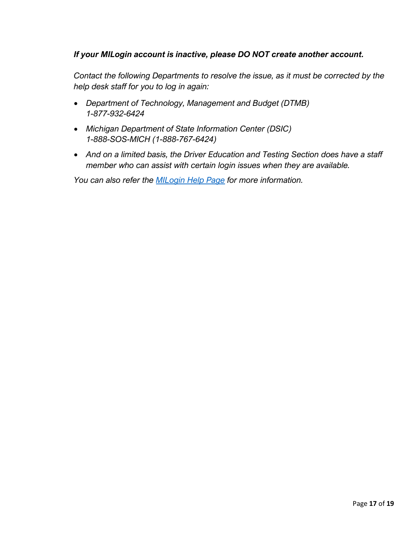# *If your MILogin account is inactive, please DO NOT create another account.*

*Contact the following Departments to resolve the issue, as it must be corrected by the help desk staff for you to log in again:* 

- *Department of Technology, Management and Budget (DTMB) 1-877-932-6424*
- *Michigan Department of State Information Center (DSIC) 1-888-SOS-MICH (1-888-767-6424)*
- *And on a limited basis, the Driver Education and Testing Section does have a staff member who can assist with certain login issues when they are available.*

*You can also refer the [MILogin Help Page](https://milogintp.michigan.gov/uisecure/tpselfservice/anonymous/help) for more information.*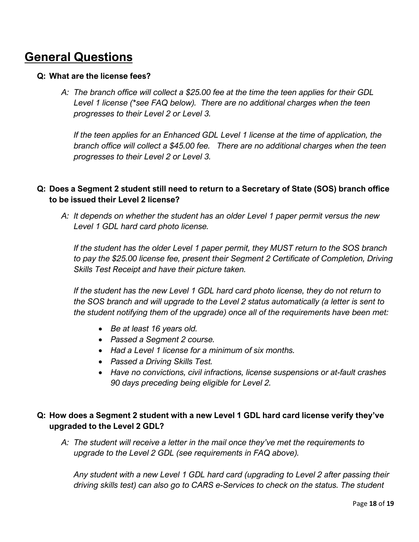# **General Questions**

### **Q: What are the license fees?**

*A: The branch office will collect a \$25.00 fee at the time the teen applies for their GDL Level 1 license (\*see FAQ below). There are no additional charges when the teen progresses to their Level 2 or Level 3.*

*If the teen applies for an Enhanced GDL Level 1 license at the time of application, the branch office will collect a \$45.00 fee. There are no additional charges when the teen progresses to their Level 2 or Level 3.*

# **Q: Does a Segment 2 student still need to return to a Secretary of State (SOS) branch office to be issued their Level 2 license?**

*A: It depends on whether the student has an older Level 1 paper permit versus the new Level 1 GDL hard card photo license.*

*If the student has the older Level 1 paper permit, they MUST return to the SOS branch to pay the \$25.00 license fee, present their Segment 2 Certificate of Completion, Driving Skills Test Receipt and have their picture taken.*

*If the student has the new Level 1 GDL hard card photo license, they do not return to the SOS branch and will upgrade to the Level 2 status automatically (a letter is sent to the student notifying them of the upgrade) once all of the requirements have been met:*

- *Be at least 16 years old.*
- *Passed a Segment 2 course.*
- *Had a Level 1 license for a minimum of six months.*
- *Passed a Driving Skills Test.*
- *Have no convictions, civil infractions, license suspensions or at-fault crashes 90 days preceding being eligible for Level 2.*

# **Q: How does a Segment 2 student with a new Level 1 GDL hard card license verify they've upgraded to the Level 2 GDL?**

*A: The student will receive a letter in the mail once they've met the requirements to upgrade to the Level 2 GDL (see requirements in FAQ above).* 

*Any student with a new Level 1 GDL hard card (upgrading to Level 2 after passing their driving skills test) can also go to CARS e-Services to check on the status. The student*